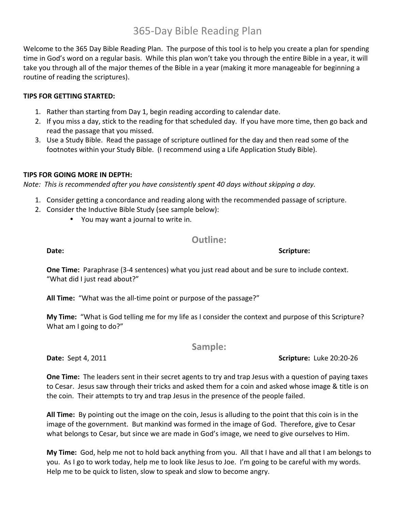# 365-Day Bible Reading Plan

Welcome to the 365 Day Bible Reading Plan. The purpose of this tool is to help you create a plan for spending time in God's word on a regular basis. While this plan won't take you through the entire Bible in a year, it will take you through all of the major themes of the Bible in a year (making it more manageable for beginning a routine of reading the scriptures).

## **TIPS FOR GETTING STARTED:**

- 1. Rather than starting from Day 1, begin reading according to calendar date.
- 2. If you miss a day, stick to the reading for that scheduled day. If you have more time, then go back and read the passage that you missed.
- 3. Use a Study Bible. Read the passage of scripture outlined for the day and then read some of the footnotes within your Study Bible. (I recommend using a Life Application Study Bible).

### **TIPS FOR GOING MORE IN DEPTH:**

*Note:* This is recommended after you have consistently spent 40 days without skipping a day.

- 1. Consider getting a concordance and reading along with the recommended passage of scripture.
- 2. Consider the Inductive Bible Study (see sample below):
	- You may want a journal to write in.

# **Outline:**

**One Time:** Paraphrase (3-4 sentences) what you just read about and be sure to include context. "What did I just read about?"

**All Time:** "What was the all-time point or purpose of the passage?"

**My Time:** "What is God telling me for my life as I consider the context and purpose of this Scripture? What am I going to  $do$ ?"

**Sample:**

**One Time:** The leaders sent in their secret agents to try and trap Jesus with a question of paying taxes to Cesar. Jesus saw through their tricks and asked them for a coin and asked whose image & title is on the coin. Their attempts to try and trap Jesus in the presence of the people failed.

**All Time:** By pointing out the image on the coin, Jesus is alluding to the point that this coin is in the image of the government. But mankind was formed in the image of God. Therefore, give to Cesar what belongs to Cesar, but since we are made in God's image, we need to give ourselves to Him.

**My Time:** God, help me not to hold back anything from you. All that I have and all that I am belongs to you. As I go to work today, help me to look like Jesus to Joe. I'm going to be careful with my words. Help me to be quick to listen, slow to speak and slow to become angry.

**Date:** Sept 4, 2011 **Subset 3.1 Sept 4. 20:20-26 Scripture:** Luke 20:20-26

**Date:** Scripture: **CONSISTENT CONSISTENT CONSISTENT CONSISTENT CONSISTENT CONSISTENT CONSISTENT CONSISTENT CONSISTENT CONSISTENT CONSISTENT CONSISTENT CONSISTENT CONSISTENT CONSISTENT CONSISTENT CONSISTENT CONSISTENT CONS**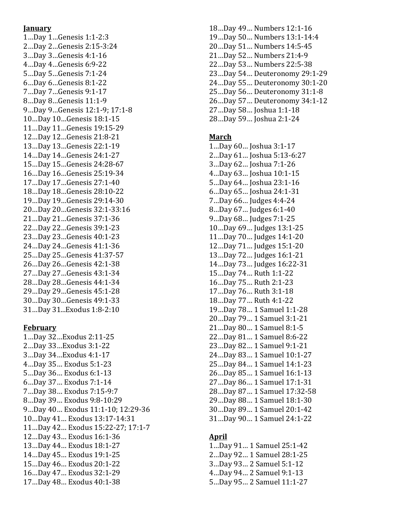#### **January**

1…Day 1…Genesis 1:1-2:3 2…Day 2…Genesis 2:15-3:24 3…Day 3…Genesis 4:1-16 4…Day 4…Genesis 6:9-22 5…Day 5…Genesis 7:1-24 6…Day 6…Genesis 8:1-22 7…Day 7…Genesis 9:1-17 8…Day 8…Genesis 11:1-9 9...Day 9...Genesis 12:1-9; 17:1-8 10…Day 10…Genesis 18:1-15 11…Day 11…Genesis 19:15-29 12…Day 12…Genesis 21:8-21 13…Day 13…Genesis 22:1-19 14…Day 14…Genesis 24:1-27 15…Day 15…Genesis 24:28-67 16…Day 16…Genesis 25:19-34 17…Day 17…Genesis 27:1-40 18…Day 18…Genesis 28:10-22 19…Day 19…Genesis 29:14-30 20…Day 20…Genesis 32:1-33:16 21…Day 21…Genesis 37:1-36 22…Day 22…Genesis 39:1-23 23…Day 23…Genesis 40:1-23 24…Day 24…Genesis 41:1-36 25…Day 25…Genesis 41:37-57 26…Day 26…Genesis 42:1-38 27…Day 27…Genesis 43:1-34 28…Day 28…Genesis 44:1-34 29…Day 29…Genesis 45:1-28 30…Day 30…Genesis 49:1-33 31…Day 31...Exodus 1:8-2:10

## **February**

1…Day 32…Exodus 2:11-25 2…Day 33…Exodus 3:1-22 3…Day 34…Exodus 4:1-17 4…Day 35… Exodus 5:1-23 5…Day 36… Exodus 6:1-13 6…Day 37… Exodus 7:1-14 7…Day 38… Exodus 7:15-9:7 8…Day 39… Exodus 9:8-10:29 9...Day 40... Exodus 11:1-10; 12:29-36 10…Day 41… Exodus 13:17-14:31 11…Day 42… Exodus 15:22-27; 17:1-7 12…Day 43… Exodus 16:1-36 13…Day 44… Exodus 18:1-27 14…Day 45… Exodus 19:1-25 15…Day 46… Exodus 20:1-22 16…Day 47… Exodus 32:1-29 17…Day 48… Exodus 40:1-38

- 18…Day 49… Numbers 12:1-16 19…Day 50… Numbers 13:1-14:4 20…Day 51… Numbers 14:5-45 21…Day 52… Numbers 21:4-9 22…Day 53… Numbers 22:5-38 23…Day 54… Deuteronomy 29:1-29 24…Day 55… Deuteronomy 30:1-20 25…Day 56… Deuteronomy 31:1-8 26…Day 57… Deuteronomy 34:1-12 27…Day 58… Joshua 1:1-18 28…Day 59… Joshua 2:1-24
- **March**
- 1…Day 60… Joshua 3:1-17 2...Day 61... Joshua 5:13-6:27 3…Day 62… Joshua 7:1-26 4…Day 63… Joshua 10:1-15 5...Day 64... Joshua 23:1-16 6…Day 65… Joshua 24:1-31 7…Day 66… Judges 4:4-24 8...Day 67... Judges 6:1-40 9…Day 68… Judges 7:1-25 10…Day 69… Judges 13:1-25 11…Day 70… Judges 14:1-20 12…Day 71… Judges 15:1-20 13…Day 72… Judges 16:1-21 14…Day 73… Judges 16:22-31 15…Day 74… Ruth 1:1-22 16…Day 75… Ruth 2:1-23 17…Day 76… Ruth 3:1-18 18…Day 77… Ruth 4:1-22 19…Day 78… 1 Samuel 1:1-28 20…Day 79… 1 Samuel 3:1-21 21...Day 80... 1 Samuel 8:1-5 22…Day 81… 1 Samuel 8:6-22 23…Day 82… 1 Samuel 9:1-21 24...Day 83... 1 Samuel 10:1-27 25…Day 84… 1 Samuel 14:1-23 26…Day 85… 1 Samuel 16:1-13 27…Day 86… 1 Samuel 17:1-31 28...Day 87... 1 Samuel 17:32-58 29…Day 88… 1 Samuel 18:1-30 30…Day 89… 1 Samuel 20:1-42 31...Day 90... 1 Samuel 24:1-22

# **April**

1…Day 91… 1 Samuel 25:1-42 2…Day 92… 1 Samuel 28:1-25 3…Day 93… 2 Samuel 5:1-12 4…Day 94… 2 Samuel 9:1-13 5…Day 95… 2 Samuel 11:1-27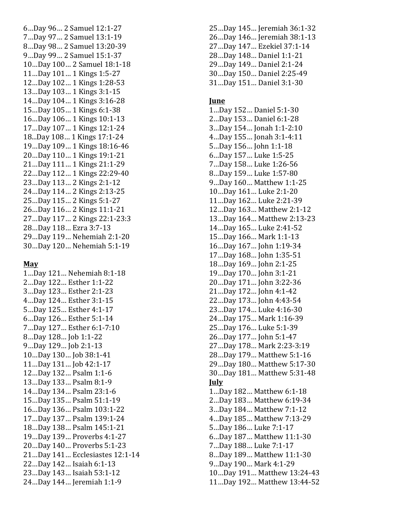6…Day 96… 2 Samuel 12:1 -27 7…Day 97… 2 Samuel 13:1 -19 8...Day 98... 2 Samuel 13:20-39 9...Day 99... 2 Samuel 15:1-37 10...Day 100... 2 Samuel 18:1-18 11...Day 101... 1 Kings 1:5-27 12...Day 102... 1 Kings 1:28-53 13...Day 103... 1 Kings 3:1-15 14...Day 104... 1 Kings 3:16-28 15...Day 105... 1 Kings 6:1-38 16...Day 106... 1 Kings 10:1-13 17...Day 107... 1 Kings 12:1-24 18...Day 108... 1 Kings 17:1-24 19...Day 109... 1 Kings 18:16-46 20...Day 110... 1 Kings 19:1-21 21...Day 111... 1 Kings 21:1-29 22...Day 112... 1 Kings 22:29-40 23...Day 113... 2 Kings 2:1-12 24...Day 114... 2 Kings 2:13-25 25...Day 115... 2 Kings 5:1-27 26...Day 116... 2 Kings 11:1-21 27…Day 117… 2 Kings 22:1 -23:3 28...Day 118... Ezra 3:7-13 29...Day 119... Nehemiah 2:1-20 30…Day 120… Nehemiah 5:1 -19

#### **May**

1…Day 121… Nehemiah 8:1 -18 2...Day 122... Esther 1:1-22 3...Day 123... Esther 2:1-23 4…Day 124… Esther 3:1 -15 5...Day 125... Esther 4:1-17 6...Day 126... Esther 5:1-14 7...Day 127... Esther 6:1-7:10 8…Day 128… Job 1:1 -22 9…Day 129… Job 2:1 -13 10…Day 130… Job 38:1 -41 11…Day 131… Job 42:1 -17 12...Day 132... Psalm 1:1-6 13...Day 133... Psalm 8:1-9 14...Day 134... Psalm 23:1-6 15…Day 135… Psalm 51:1 -19 16…Day 136… Psalm 103:1 -22 17…Day 137… Psalm 139:1 -24 18…Day 138… Psalm 145:1 -21 19…Day 139… Proverbs 4:1 -27 20…Day 140… Proverbs 5:1 -23 21...Day 141... Ecclesiastes 12:1-14 22…Day 142… Isaiah 6:1 -13 23…Day 143… Isaiah 53:1 -12 24...Day 144... Jeremiah 1:1-9

25…Day 145… Jeremiah 36:1 -32 26...Day 146... Jeremiah 38:1-13 27…Day 147… Ezekiel 37:1 -14 28...Day 148... Daniel 1:1-21 29...Day 149... Daniel 2:1-24 30...Day 150... Daniel 2:25-49 31...Day 151... Daniel 3:1-30

#### **June**

1…Day 152… Daniel 5:1 -30 2…Day 153… Daniel 6:1 -28 3…Day 154… Jonah 1:1 -2:10 4…Day 155… Jonah 3:1 -4:11 5...Day 156... John 1:1-18 6…Day 157… Luke 1:5 -25 7...Day 158... Luke 1:26-56 8...Day 159... Luke 1:57-80 9...Day 160... Matthew 1:1-25 10...Day 161... Luke 2:1-20 11...Day 162... Luke 2:21-39 12...Day 163... Matthew 2:1-12 13...Day 164... Matthew 2:13-23 14...Day 165... Luke 2:41-52 15...Day 166... Mark 1:1-13 16...Day 167... John 1:19-34 17...Day 168... John 1:35-51 18...Day 169... John 2:1-25 19…Day 170… John 3:1 -21 20...Day 171... John 3:22-36 21...Day 172... John 4:1-42 22...Day 173... John 4:43-54 23...Day 174... Luke 4:16-30 24...Day 175... Mark 1:16-39 25...Day 176... Luke 5:1-39 26...Day 177... John 5:1-47 27...Day 178... Mark 2:23-3:19 28...Day 179... Matthew 5:1-16 29...Day 180... Matthew 5:17-30 30...Day 181... Matthew 5:31-48 **July** 1…Day 182… Matthew 6:1 -18 2...Day 183... Matthew 6:19-34 3...Day 184... Matthew 7:1-12 4…Day 185… Matthew 7:13 -29 5...Day 186... Luke 7:1-17 6...Day 187... Matthew 11:1-30 7...Day 188... Luke 7:1-17 8...Day 189... Matthew 11:1-30 9...Day 190... Mark 4:1-29 10...Day 191... Matthew 13:24-43 11...Day 192... Matthew 13:44-52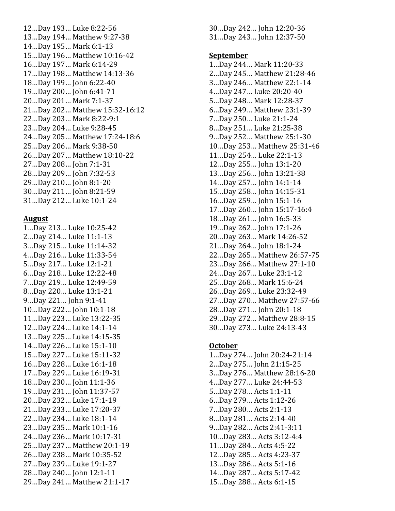12...Day 193... Luke 8:22-56 13...Day 194... Matthew 9:27-38 14...Day 195... Mark 6:1-13 15...Day 196... Matthew 10:16-42 16...Day 197... Mark 6:14-29 17...Day 198... Matthew 14:13-36 18...Day 199... John 6:22-40 19...Day 200... John 6:41-71 20...Day 201... Mark 7:1-37 21...Day 202... Matthew 15:32-16:12 22...Day 203... Mark 8:22-9:1 23...Day 204... Luke 9:28-45 24...Day 205... Matthew 17:24-18:6 25...Day 206... Mark 9:38-50 26...Day 207... Matthew 18:10-22 27...Day 208... John 7:1-31 28...Day 209... John 7:32-53 29...Day 210... John 8:1-20 30...Day 211... John 8:21-59 31...Day 212... Luke 10:1-24

#### **August**

1…Day 213… Luke 10:25 -42 2...Day 214... Luke 11:1-13 3...Day 215... Luke 11:14-32 4…Day 216… Luke 11:33 -54 5...Day 217... Luke 12:1-21 6...Day 218... Luke 12:22-48 7...Day 219... Luke 12:49-59 8...Day 220... Luke 13:1-21 9...Day 221... John 9:1-41 10…Day 222… John 10:1 -18 11...Day 223... Luke 13:22-35 12...Day 224... Luke 14:1-14 13...Day 225... Luke 14:15-35 14...Day 226... Luke 15:1-10 15...Day 227... Luke 15:11-32 16...Day 228... Luke 16:1-18 17...Day 229... Luke 16:19-31 18...Day 230... John 11:1-36 19…Day 231… John 11:37 -57 20...Day 232... Luke 17:1-19 21...Day 233... Luke 17:20-37 22...Day 234... Luke 18:1-14 23...Day 235... Mark 10:1-16 24...Day 236... Mark 10:17-31 25...Day 237... Matthew 20:1-19 26...Day 238... Mark 10:35-52 27...Day 239... Luke 19:1-27 28...Day 240... John 12:1-11 29...Day 241... Matthew 21:1-17 30...Day 242... John 12:20-36 31...Day 243... John 12:37-50

#### **September**

1...Day 244... Mark 11:20-33 2...Day 245... Matthew 21:28-46 3...Day 246... Matthew 22:1-14 4…Day 247… Luke 20:20 -40 5...Day 248... Mark 12:28-37 6...Day 249... Matthew 23:1-39 7...Day 250... Luke 21:1-24 8...Day 251... Luke 21:25-38 9...Day 252... Matthew 25:1-30 10…Day 253… Matthew 25:31 -46 11...Day 254... Luke 22:1-13 12…Day 255… John 13:1 -20 13...Day 256... John 13:21-38 14…Day 257… John 14:1 -14 15...Day 258... John 14:15-31 16…Day 259… John 15:1 -16 17…Day 260… John 15:17 -16:4 18...Day 261... John 16:5-33 19…Day 262… John 17:1 -26 20...Day 263... Mark 14:26-52 21...Day 264... John 18:1-24 22...Day 265... Matthew 26:57-75 23...Day 266... Matthew 27:1-10 24...Day 267... Luke 23:1-12 25...Day 268... Mark 15:6-24 26...Day 269... Luke 23:32-49 27...Day 270... Matthew 27:57-66 28...Day 271... John 20:1-18 29...Day 272... Matthew 28:8-15 30...Day 273... Luke 24:13-43

#### **October**

1…Day 274… John 20:24 -21:14 2…Day 275… John 21:15 -25 3...Day 276... Matthew 28:16-20 4…Day 277… Luke 24:44 -53 5...Day 278... Acts 1:1-11 6…Day 279… Acts 1:12 -26 7…Day 280… Acts 2:1 -13 8...Day 281... Acts 2:14-40 9…Day 282… Acts 2:41 -3:11 10...Day 283... Acts 3:12-4:4 11...Day 284... Acts 4:5-22 12...Day 285... Acts 4:23-37 13...Day 286... Acts 5:1-16 14...Day 287... Acts 5:17-42 15…Day 288… Acts 6:1 -15